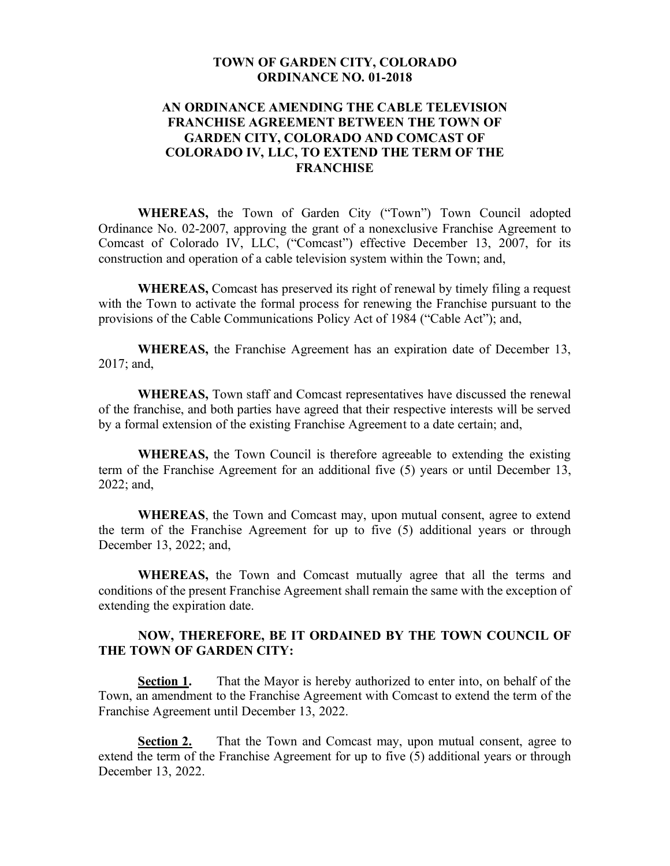## **TOWN OF GARDEN CITY, COLORADO ORDINANCE NO. 01-2018**

## **AN ORDINANCE AMENDING THE CABLE TELEVISION FRANCHISE AGREEMENT BETWEEN THE TOWN OF GARDEN CITY, COLORADO AND COMCAST OF COLORADO IV, LLC, TO EXTEND THE TERM OF THE FRANCHISE**

**WHEREAS,** the Town of Garden City ("Town") Town Council adopted Ordinance No. 02-2007, approving the grant of a nonexclusive Franchise Agreement to Comcast of Colorado IV, LLC, ("Comcast") effective December 13, 2007, for its construction and operation of a cable television system within the Town; and,

**WHEREAS,** Comcast has preserved its right of renewal by timely filing a request with the Town to activate the formal process for renewing the Franchise pursuant to the provisions of the Cable Communications Policy Act of 1984 ("Cable Act"); and,

**WHEREAS,** the Franchise Agreement has an expiration date of December 13, 2017; and,

**WHEREAS,** Town staff and Comcast representatives have discussed the renewal of the franchise, and both parties have agreed that their respective interests will be served by a formal extension of the existing Franchise Agreement to a date certain; and,

**WHEREAS,** the Town Council is therefore agreeable to extending the existing term of the Franchise Agreement for an additional five (5) years or until December 13, 2022; and,

**WHEREAS**, the Town and Comcast may, upon mutual consent, agree to extend the term of the Franchise Agreement for up to five (5) additional years or through December 13, 2022; and,

**WHEREAS,** the Town and Comcast mutually agree that all the terms and conditions of the present Franchise Agreement shall remain the same with the exception of extending the expiration date.

## **NOW, THEREFORE, BE IT ORDAINED BY THE TOWN COUNCIL OF THE TOWN OF GARDEN CITY:**

**Section 1.** That the Mayor is hereby authorized to enter into, on behalf of the Town, an amendment to the Franchise Agreement with Comcast to extend the term of the Franchise Agreement until December 13, 2022.

**Section 2.** That the Town and Comcast may, upon mutual consent, agree to extend the term of the Franchise Agreement for up to five (5) additional years or through December 13, 2022.